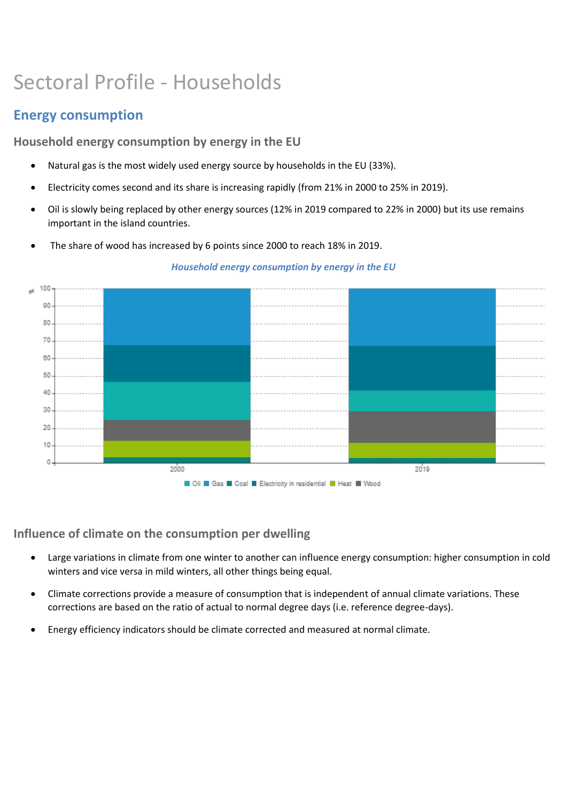# Sectoral Profile - Households

# **Energy consumption**

**Household energy consumption by energy in the EU**

- Natural gas is the most widely used energy source by households in the EU (33%).
- Electricity comes second and its share is increasing rapidly (from 21% in 2000 to 25% in 2019).
- Oil is slowly being replaced by other energy sources (12% in 2019 compared to 22% in 2000) but its use remains important in the island countries.
- The share of wood has increased by 6 points since 2000 to reach 18% in 2019.



*Household energy consumption by energy in the EU*

**Influence of climate on the consumption per dwelling**

- Large variations in climate from one winter to another can influence energy consumption: higher consumption in cold winters and vice versa in mild winters, all other things being equal.
- Climate corrections provide a measure of consumption that is independent of annual climate variations. These corrections are based on the ratio of actual to normal degree days (i.e. reference degree-days).
- Energy efficiency indicators should be climate corrected and measured at normal climate.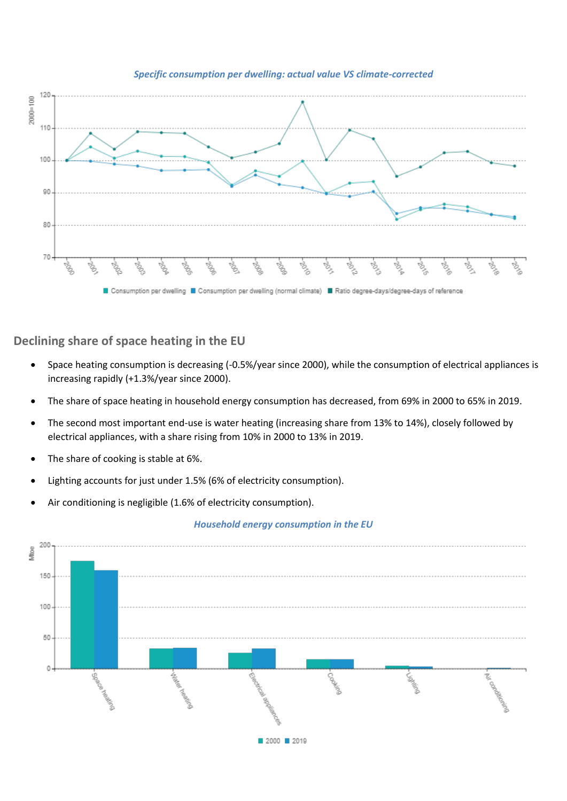

*Specific consumption per dwelling: actual value VS climate-corrected*

**Declining share of space heating in the EU**

- Space heating consumption is decreasing (-0.5%/year since 2000), while the consumption of electrical appliances is increasing rapidly (+1.3%/year since 2000).
- The share of space heating in household energy consumption has decreased, from 69% in 2000 to 65% in 2019.
- The second most important end-use is water heating (increasing share from 13% to 14%), closely followed by electrical appliances, with a share rising from 10% in 2000 to 13% in 2019.
- The share of cooking is stable at 6%.
- Lighting accounts for just under 1.5% (6% of electricity consumption).
- Air conditioning is negligible (1.6% of electricity consumption).

### *Household energy consumption in the EU*

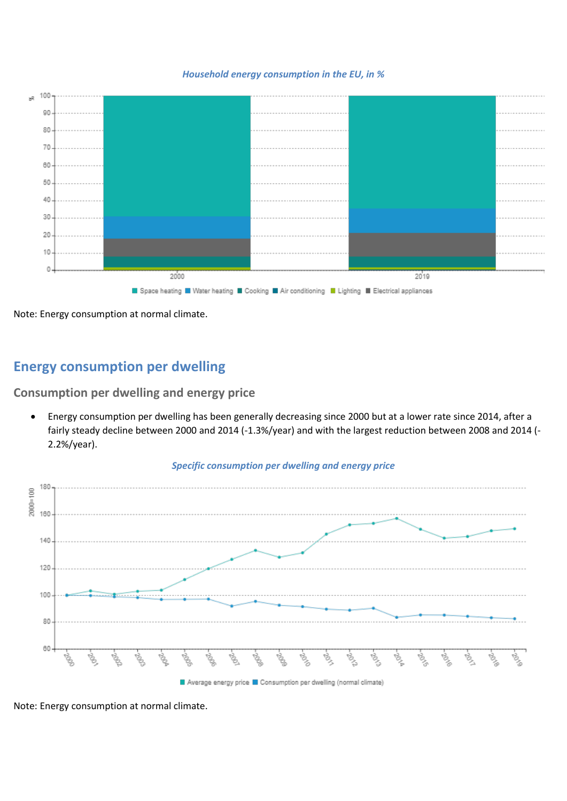

*Household energy consumption in the EU, in %*

Note: Energy consumption at normal climate.

# **Energy consumption per dwelling**

**Consumption per dwelling and energy price**

• Energy consumption per dwelling has been generally decreasing since 2000 but at a lower rate since 2014, after a fairly steady decline between 2000 and 2014 (-1.3%/year) and with the largest reduction between 2008 and 2014 (- 2.2%/year).



*Specific consumption per dwelling and energy price*

Note: Energy consumption at normal climate.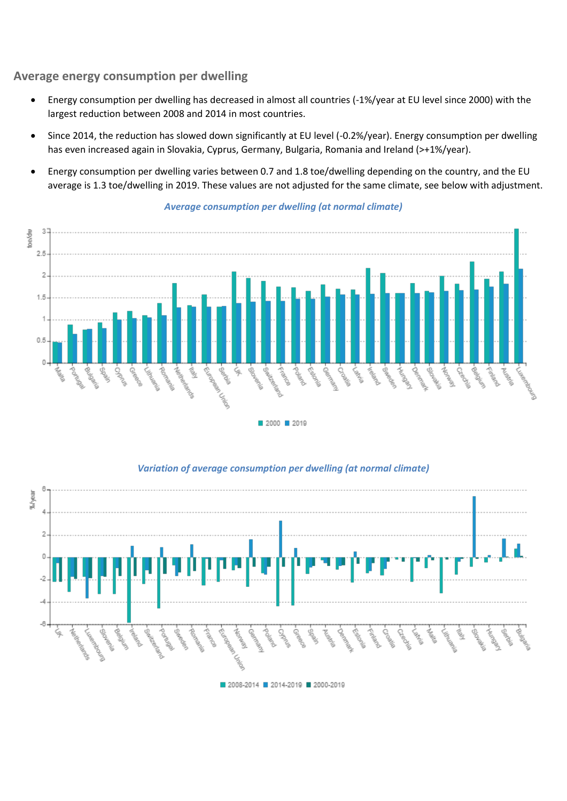### **Average energy consumption per dwelling**

- Energy consumption per dwelling has decreased in almost all countries (-1%/year at EU level since 2000) with the largest reduction between 2008 and 2014 in most countries.
- Since 2014, the reduction has slowed down significantly at EU level (-0.2%/year). Energy consumption per dwelling has even increased again in Slovakia, Cyprus, Germany, Bulgaria, Romania and Ireland (>+1%/year).
- Energy consumption per dwelling varies between 0.7 and 1.8 toe/dwelling depending on the country, and the EU average is 1.3 toe/dwelling in 2019. These values are not adjusted for the same climate, see below with adjustment.



### *Average consumption per dwelling (at normal climate)*



*Variation of average consumption per dwelling (at normal climate)*

2008-2014 2014-2019 2000-2019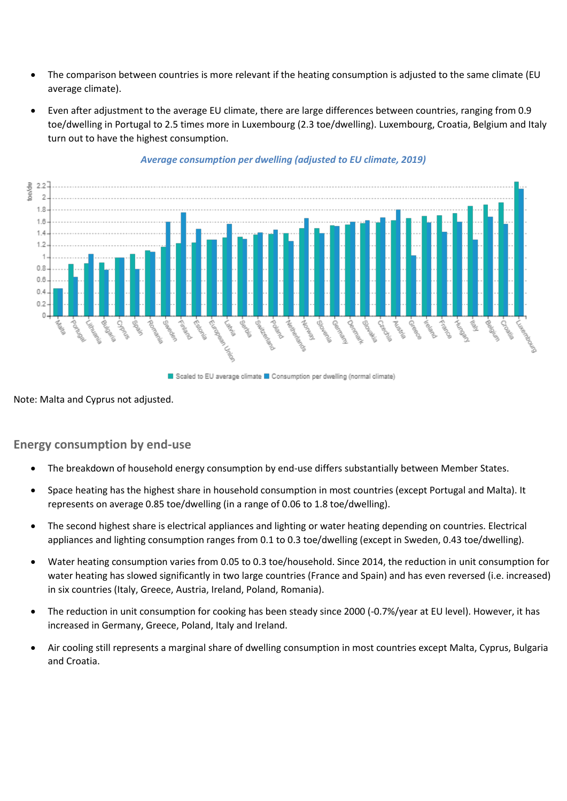- The comparison between countries is more relevant if the heating consumption is adjusted to the same climate (EU average climate).
- Even after adjustment to the average EU climate, there are large differences between countries, ranging from 0.9 toe/dwelling in Portugal to 2.5 times more in Luxembourg (2.3 toe/dwelling). Luxembourg, Croatia, Belgium and Italy turn out to have the highest consumption.



### *Average consumption per dwelling (adjusted to EU climate, 2019)*

Scaled to EU average climate Consumption per dwelling (normal climate)

Note: Malta and Cyprus not adjusted.

## **Energy consumption by end-use**

- The breakdown of household energy consumption by end-use differs substantially between Member States.
- Space heating has the highest share in household consumption in most countries (except Portugal and Malta). It represents on average 0.85 toe/dwelling (in a range of 0.06 to 1.8 toe/dwelling).
- The second highest share is electrical appliances and lighting or water heating depending on countries. Electrical appliances and lighting consumption ranges from 0.1 to 0.3 toe/dwelling (except in Sweden, 0.43 toe/dwelling).
- Water heating consumption varies from 0.05 to 0.3 toe/household. Since 2014, the reduction in unit consumption for water heating has slowed significantly in two large countries (France and Spain) and has even reversed (i.e. increased) in six countries (Italy, Greece, Austria, Ireland, Poland, Romania).
- The reduction in unit consumption for cooking has been steady since 2000 (-0.7%/year at EU level). However, it has increased in Germany, Greece, Poland, Italy and Ireland.
- Air cooling still represents a marginal share of dwelling consumption in most countries except Malta, Cyprus, Bulgaria and Croatia.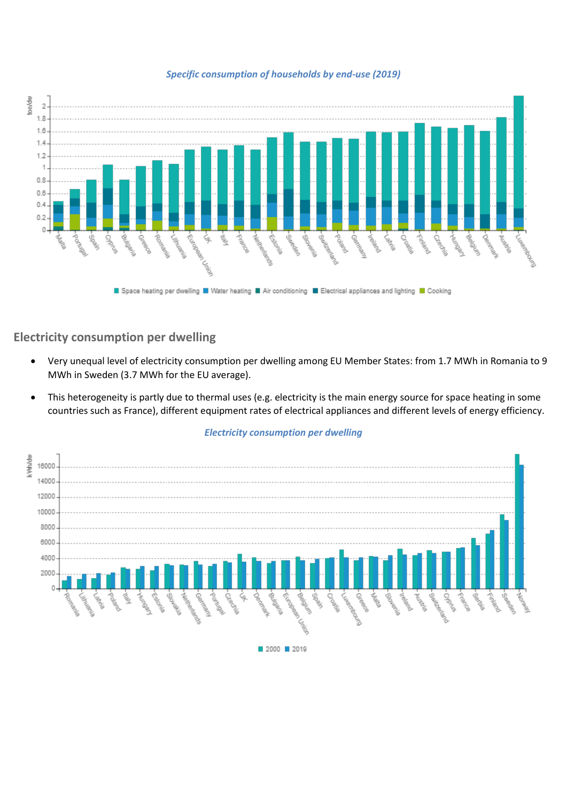

### *Specific consumption of households by end-use (2019)*

### **Electricity consumption per dwelling**

- Very unequal level of electricity consumption per dwelling among EU Member States: from 1.7 MWh in Romania to 9 MWh in Sweden (3.7 MWh for the EU average).
- This heterogeneity is partly due to thermal uses (e.g. electricity is the main energy source for space heating in some countries such as France), different equipment rates of electrical appliances and different levels of energy efficiency.



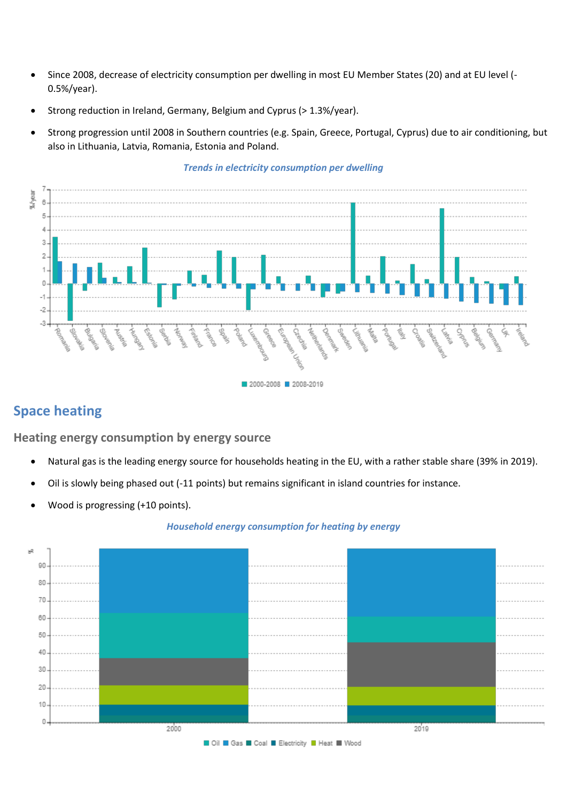- Since 2008, decrease of electricity consumption per dwelling in most EU Member States (20) and at EU level (- 0.5%/year).
- Strong reduction in Ireland, Germany, Belgium and Cyprus (> 1.3%/year).
- Strong progression until 2008 in Southern countries (e.g. Spain, Greece, Portugal, Cyprus) due to air conditioning, but also in Lithuania, Latvia, Romania, Estonia and Poland.



### *Trends in electricity consumption per dwelling*

# **Space heating**

### **Heating energy consumption by energy source**

- Natural gas is the leading energy source for households heating in the EU, with a rather stable share (39% in 2019).
- Oil is slowly being phased out (-11 points) but remains significant in island countries for instance.
- Wood is progressing (+10 points).

#### *Household energy consumption for heating by energy*



#### ■ Oil ■ Gas ■ Coal ■ Electricity ■ Heat ■ Wood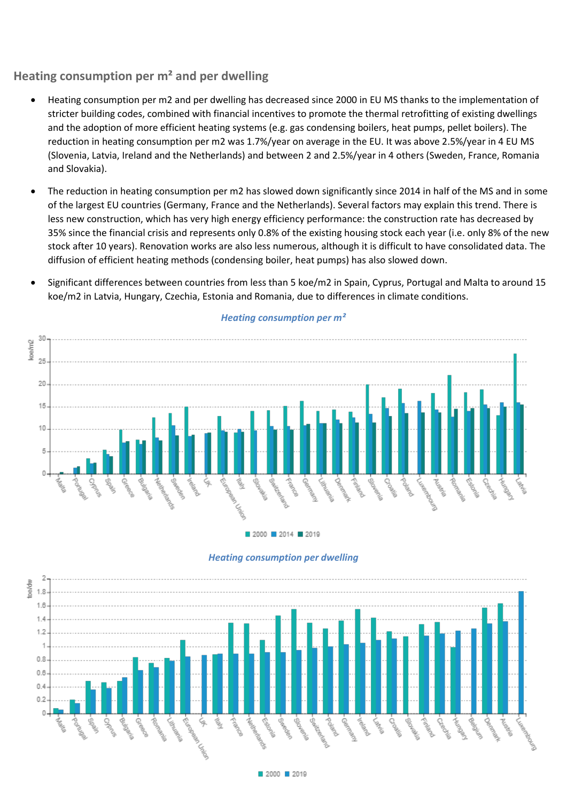### **Heating consumption per m² and per dwelling**

- Heating consumption per m2 and per dwelling has decreased since 2000 in EU MS thanks to the implementation of stricter building codes, combined with financial incentives to promote the thermal retrofitting of existing dwellings and the adoption of more efficient heating systems (e.g. gas condensing boilers, heat pumps, pellet boilers). The reduction in heating consumption per m2 was 1.7%/year on average in the EU. It was above 2.5%/year in 4 EU MS (Slovenia, Latvia, Ireland and the Netherlands) and between 2 and 2.5%/year in 4 others (Sweden, France, Romania and Slovakia).
- The reduction in heating consumption per m2 has slowed down significantly since 2014 in half of the MS and in some of the largest EU countries (Germany, France and the Netherlands). Several factors may explain this trend. There is less new construction, which has very high energy efficiency performance: the construction rate has decreased by 35% since the financial crisis and represents only 0.8% of the existing housing stock each year (i.e. only 8% of the new stock after 10 years). Renovation works are also less numerous, although it is difficult to have consolidated data. The diffusion of efficient heating methods (condensing boiler, heat pumps) has also slowed down.
- Significant differences between countries from less than 5 koe/m2 in Spain, Cyprus, Portugal and Malta to around 15 koe/m2 in Latvia, Hungary, Czechia, Estonia and Romania, due to differences in climate conditions.



### *Heating consumption per m²*

■ 2000 ■ 2014 ■ 2019

#### *Heating consumption per dwelling*

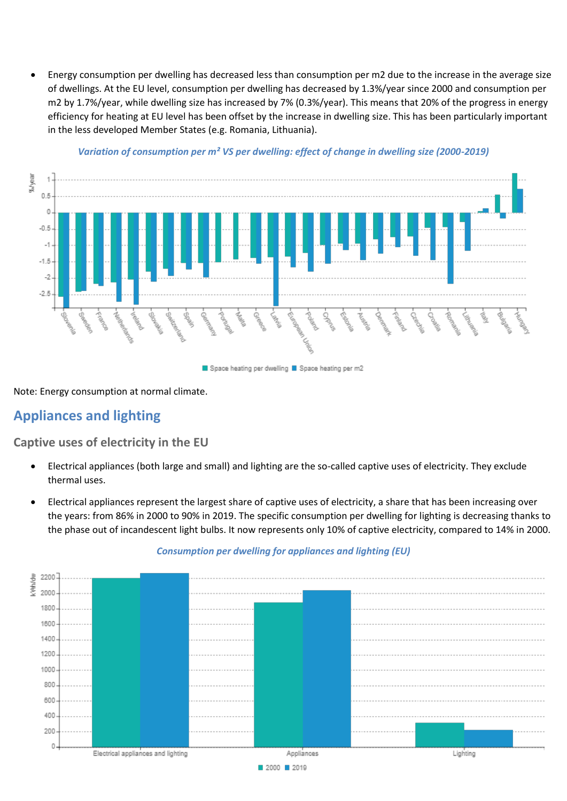• Energy consumption per dwelling has decreased less than consumption per m2 due to the increase in the average size of dwellings. At the EU level, consumption per dwelling has decreased by 1.3%/year since 2000 and consumption per m2 by 1.7%/year, while dwelling size has increased by 7% (0.3%/year). This means that 20% of the progress in energy efficiency for heating at EU level has been offset by the increase in dwelling size. This has been particularly important in the less developed Member States (e.g. Romania, Lithuania).



### *Variation of consumption per m² VS per dwelling: effect of change in dwelling size (2000-2019)*

Note: Energy consumption at normal climate.

# **Appliances and lighting**

**Captive uses of electricity in the EU**

- Electrical appliances (both large and small) and lighting are the so-called captive uses of electricity. They exclude thermal uses.
- Electrical appliances represent the largest share of captive uses of electricity, a share that has been increasing over the years: from 86% in 2000 to 90% in 2019. The specific consumption per dwelling for lighting is decreasing thanks to the phase out of incandescent light bulbs. It now represents only 10% of captive electricity, compared to 14% in 2000.



### *Consumption per dwelling for appliances and lighting (EU)*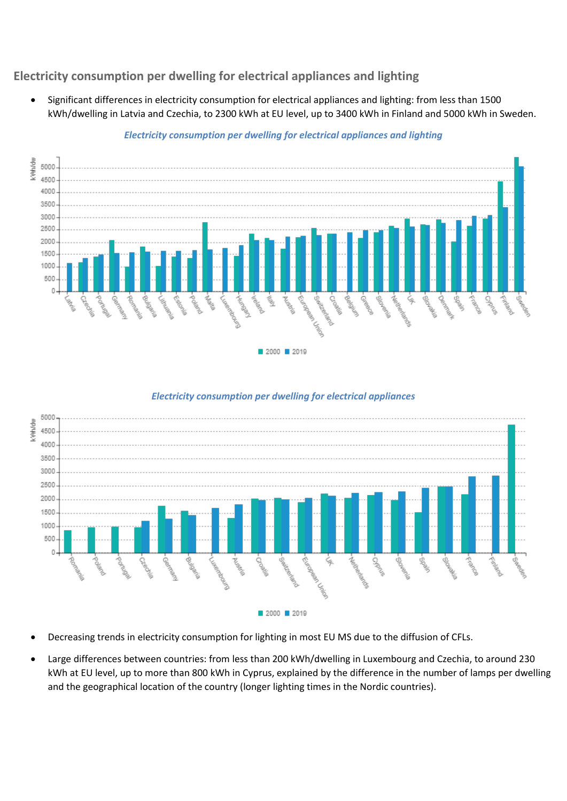## **Electricity consumption per dwelling for electrical appliances and lighting**

• Significant differences in electricity consumption for electrical appliances and lighting: from less than 1500 kWh/dwelling in Latvia and Czechia, to 2300 kWh at EU level, up to 3400 kWh in Finland and 5000 kWh in Sweden.



### *Electricity consumption per dwelling for electrical appliances and lighting*

### *Electricity consumption per dwelling for electrical appliances*



- Decreasing trends in electricity consumption for lighting in most EU MS due to the diffusion of CFLs.
- Large differences between countries: from less than 200 kWh/dwelling in Luxembourg and Czechia, to around 230 kWh at EU level, up to more than 800 kWh in Cyprus, explained by the difference in the number of lamps per dwelling and the geographical location of the country (longer lighting times in the Nordic countries).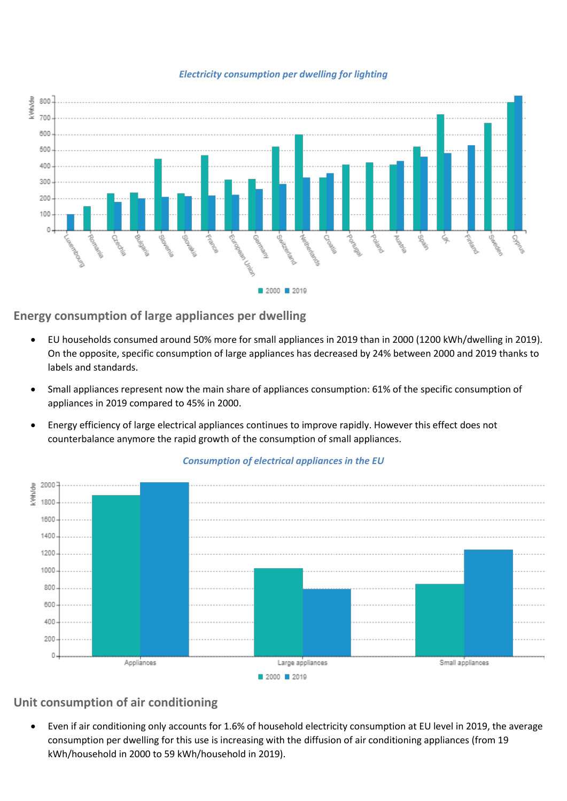



**Energy consumption of large appliances per dwelling**

- EU households consumed around 50% more for small appliances in 2019 than in 2000 (1200 kWh/dwelling in 2019). On the opposite, specific consumption of large appliances has decreased by 24% between 2000 and 2019 thanks to labels and standards.
- Small appliances represent now the main share of appliances consumption: 61% of the specific consumption of appliances in 2019 compared to 45% in 2000.
- Energy efficiency of large electrical appliances continues to improve rapidly. However this effect does not counterbalance anymore the rapid growth of the consumption of small appliances.



### *Consumption of electrical appliances in the EU*

## **Unit consumption of air conditioning**

• Even if air conditioning only accounts for 1.6% of household electricity consumption at EU level in 2019, the average consumption per dwelling for this use is increasing with the diffusion of air conditioning appliances (from 19 kWh/household in 2000 to 59 kWh/household in 2019).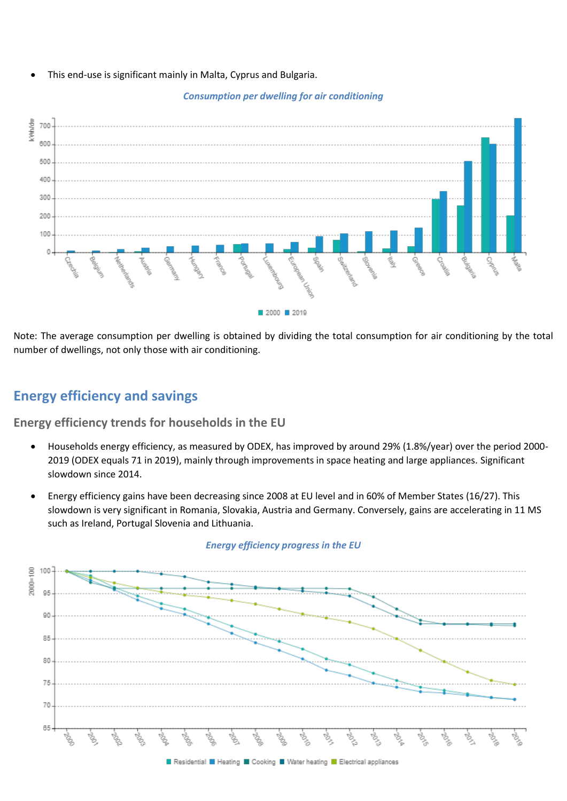• This end-use is significant mainly in Malta, Cyprus and Bulgaria.

### *Consumption per dwelling for air conditioning*



Note: The average consumption per dwelling is obtained by dividing the total consumption for air conditioning by the total number of dwellings, not only those with air conditioning.

# **Energy efficiency and savings**

**Energy efficiency trends for households in the EU**

- Households energy efficiency, as measured by ODEX, has improved by around 29% (1.8%/year) over the period 2000- 2019 (ODEX equals 71 in 2019), mainly through improvements in space heating and large appliances. Significant slowdown since 2014.
- Energy efficiency gains have been decreasing since 2008 at EU level and in 60% of Member States (16/27). This slowdown is very significant in Romania, Slovakia, Austria and Germany. Conversely, gains are accelerating in 11 MS such as Ireland, Portugal Slovenia and Lithuania.



### *Energy efficiency progress in the EU*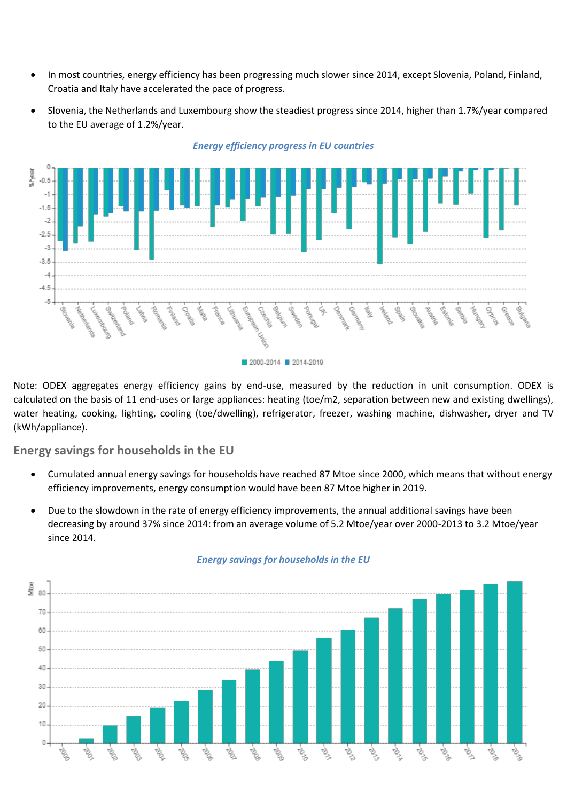- In most countries, energy efficiency has been progressing much slower since 2014, except Slovenia, Poland, Finland, Croatia and Italy have accelerated the pace of progress.
- Slovenia, the Netherlands and Luxembourg show the steadiest progress since 2014, higher than 1.7%/year compared to the EU average of 1.2%/year.



Note: ODEX aggregates energy efficiency gains by end-use, measured by the reduction in unit consumption. ODEX is calculated on the basis of 11 end-uses or large appliances: heating (toe/m2, separation between new and existing dwellings), water heating, cooking, lighting, cooling (toe/dwelling), refrigerator, freezer, washing machine, dishwasher, dryer and TV (kWh/appliance).

### **Energy savings for households in the EU**

- Cumulated annual energy savings for households have reached 87 Mtoe since 2000, which means that without energy efficiency improvements, energy consumption would have been 87 Mtoe higher in 2019.
- Due to the slowdown in the rate of energy efficiency improvements, the annual additional savings have been decreasing by around 37% since 2014: from an average volume of 5.2 Mtoe/year over 2000-2013 to 3.2 Mtoe/year since 2014.



### *Energy savings for households in the EU*